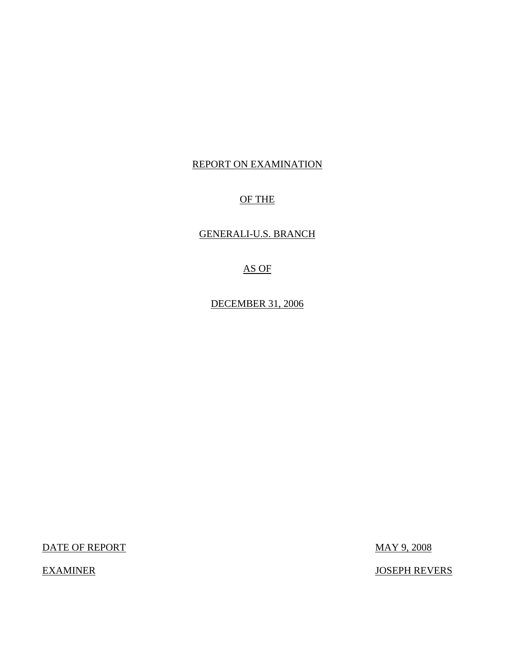# REPORT ON EXAMINATION

# OF THE

# GENERALI-U.S. BRANCH

# AS OF

DECEMBER 31, 2006

DATE OF REPORT MAY 9, 2008

EXAMINER JOSEPH REVERS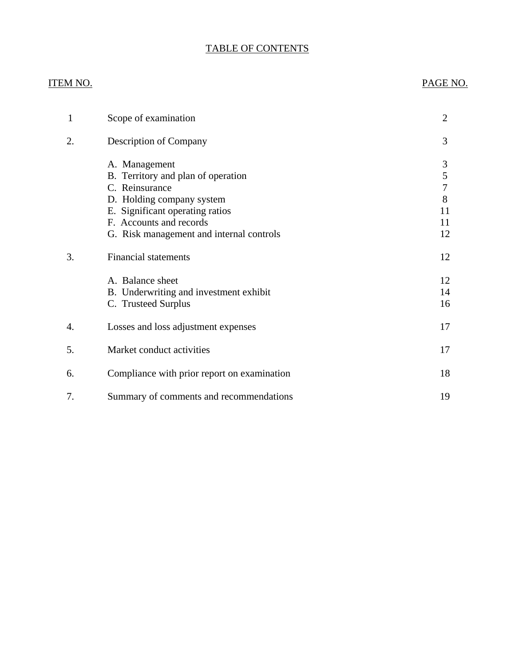# TABLE OF CONTENTS

# ITEM NO. PAGE NO.

| 1  | Scope of examination                        | $\overline{2}$ |
|----|---------------------------------------------|----------------|
| 2. | <b>Description of Company</b>               | 3              |
|    | A. Management                               | 3              |
|    | B. Territory and plan of operation          | 5              |
|    | C. Reinsurance                              | $\overline{7}$ |
|    | D. Holding company system                   | 8              |
|    | E. Significant operating ratios             | 11             |
|    | F. Accounts and records                     | 11             |
|    | G. Risk management and internal controls    | 12             |
| 3. | <b>Financial statements</b>                 | 12             |
|    | A. Balance sheet                            | 12             |
|    | B. Underwriting and investment exhibit      | 14             |
|    | C. Trusteed Surplus                         | 16             |
| 4. | Losses and loss adjustment expenses         | 17             |
| 5. | Market conduct activities                   | 17             |
| 6. | Compliance with prior report on examination | 18             |
| 7. | Summary of comments and recommendations     | 19             |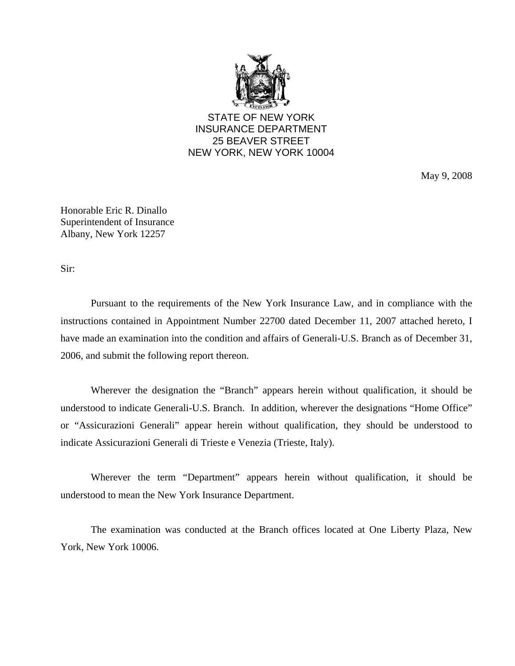

STATE OF NEW YORK INSURANCE DEPARTMENT 25 BEAVER STREET NEW YORK, NEW YORK 10004

May 9, 2008

Honorable Eric R. Dinallo Superintendent of Insurance Albany, New York 12257

Sir:

Pursuant to the requirements of the New York Insurance Law, and in compliance with the instructions contained in Appointment Number 22700 dated December 11, 2007 attached hereto, I have made an examination into the condition and affairs of Generali-U.S. Branch as of December 31, 2006, and submit the following report thereon.

Wherever the designation the "Branch" appears herein without qualification, it should be understood to indicate Generali-U.S. Branch. In addition, wherever the designations "Home Office" or "Assicurazioni Generali" appear herein without qualification, they should be understood to indicate Assicurazioni Generali di Trieste e Venezia (Trieste, Italy).

Wherever the term "Department" appears herein without qualification, it should be understood to mean the New York Insurance Department.

The examination was conducted at the Branch offices located at One Liberty Plaza, New York, New York 10006.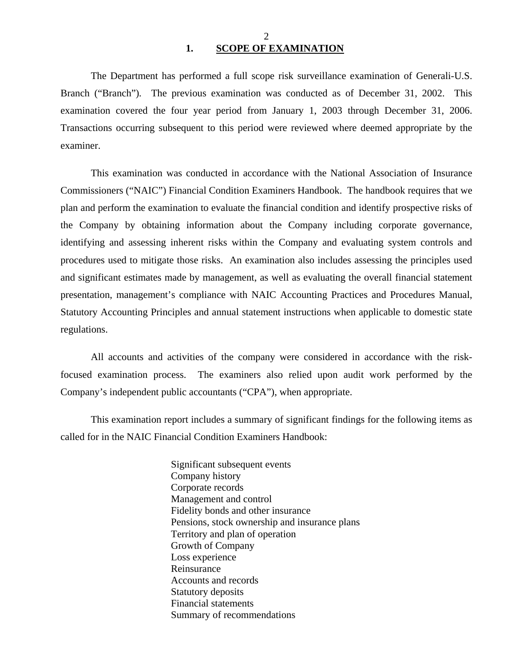#### 2 **1. SCOPE OF EXAMINATION**

<span id="page-3-0"></span>The Department has performed a full scope risk surveillance examination of Generali-U.S. Branch ("Branch")*.* The previous examination was conducted as of December 31, 2002. This examination covered the four year period from January 1, 2003 through December 31, 2006. Transactions occurring subsequent to this period were reviewed where deemed appropriate by the examiner.

This examination was conducted in accordance with the National Association of Insurance Commissioners ("NAIC") Financial Condition Examiners Handbook. The handbook requires that we plan and perform the examination to evaluate the financial condition and identify prospective risks of the Company by obtaining information about the Company including corporate governance, identifying and assessing inherent risks within the Company and evaluating system controls and procedures used to mitigate those risks. An examination also includes assessing the principles used and significant estimates made by management, as well as evaluating the overall financial statement presentation, management's compliance with NAIC Accounting Practices and Procedures Manual, Statutory Accounting Principles and annual statement instructions when applicable to domestic state regulations.

All accounts and activities of the company were considered in accordance with the riskfocused examination process. The examiners also relied upon audit work performed by the Company's independent public accountants ("CPA"), when appropriate.

This examination report includes a summary of significant findings for the following items as called for in the NAIC Financial Condition Examiners Handbook:

> Significant subsequent events Company history Corporate records Management and control Fidelity bonds and other insurance Pensions, stock ownership and insurance plans Territory and plan of operation Growth of Company Loss experience Reinsurance Accounts and records Statutory deposits Financial statements Summary of recommendations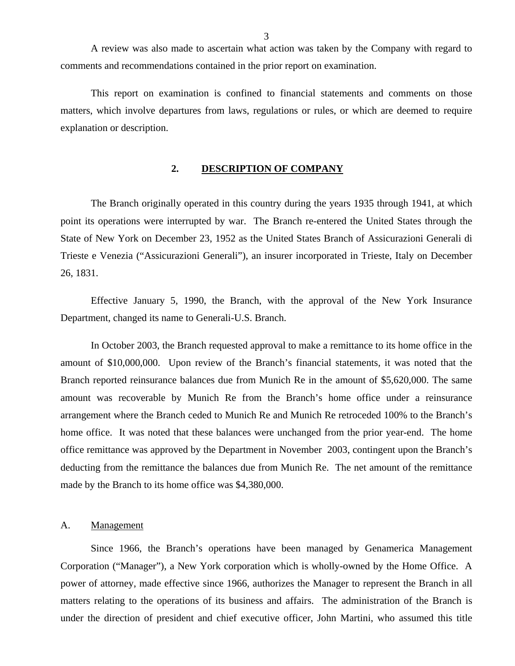<span id="page-4-0"></span>A review was also made to ascertain what action was taken by the Company with regard to comments and recommendations contained in the prior report on examination.

This report on examination is confined to financial statements and comments on those matters, which involve departures from laws, regulations or rules, or which are deemed to require explanation or description.

#### **2. DESCRIPTION OF COMPANY**

The Branch originally operated in this country during the years 1935 through 1941, at which point its operations were interrupted by war. The Branch re-entered the United States through the State of New York on December 23, 1952 as the United States Branch of Assicurazioni Generali di Trieste e Venezia ("Assicurazioni Generali"), an insurer incorporated in Trieste, Italy on December 26, 1831.

Effective January 5, 1990, the Branch, with the approval of the New York Insurance Department, changed its name to Generali-U.S. Branch.

In October 2003, the Branch requested approval to make a remittance to its home office in the amount of \$10,000,000. Upon review of the Branch's financial statements, it was noted that the Branch reported reinsurance balances due from Munich Re in the amount of \$5,620,000. The same amount was recoverable by Munich Re from the Branch's home office under a reinsurance arrangement where the Branch ceded to Munich Re and Munich Re retroceded 100% to the Branch's home office. It was noted that these balances were unchanged from the prior year-end. The home office remittance was approved by the Department in November 2003, contingent upon the Branch's deducting from the remittance the balances due from Munich Re. The net amount of the remittance made by the Branch to its home office was \$4,380,000.

#### A. Management

Since 1966, the Branch's operations have been managed by Genamerica Management Corporation ("Manager"), a New York corporation which is wholly-owned by the Home Office. A power of attorney, made effective since 1966, authorizes the Manager to represent the Branch in all matters relating to the operations of its business and affairs. The administration of the Branch is under the direction of president and chief executive officer, John Martini, who assumed this title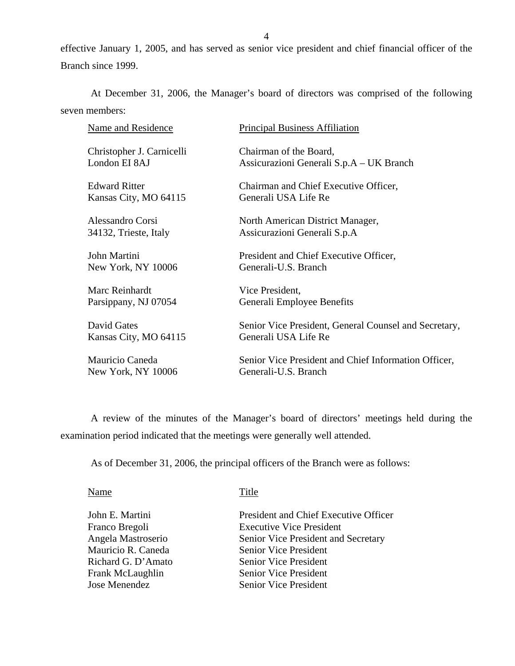effective January 1, 2005, and has served as senior vice president and chief financial officer of the Branch since 1999.

At December 31, 2006, the Manager's board of directors was comprised of the following seven members:

| <b>Name and Residence</b> | <b>Principal Business Affiliation</b>                 |
|---------------------------|-------------------------------------------------------|
| Christopher J. Carnicelli | Chairman of the Board,                                |
| London EI 8AJ             | Assicurazioni Generali S.p.A – UK Branch              |
| <b>Edward Ritter</b>      | Chairman and Chief Executive Officer,                 |
| Kansas City, MO 64115     | Generali USA Life Re                                  |
| Alessandro Corsi          | North American District Manager,                      |
| 34132, Trieste, Italy     | Assicurazioni Generali S.p.A                          |
| John Martini              | President and Chief Executive Officer,                |
| New York, NY 10006        | Generali-U.S. Branch                                  |
| Marc Reinhardt            | Vice President,                                       |
| Parsippany, NJ 07054      | Generali Employee Benefits                            |
| David Gates               | Senior Vice President, General Counsel and Secretary, |
| Kansas City, MO 64115     | Generali USA Life Re                                  |
| Mauricio Caneda           | Senior Vice President and Chief Information Officer,  |
| New York, NY 10006        | Generali-U.S. Branch                                  |

A review of the minutes of the Manager's board of directors' meetings held during the examination period indicated that the meetings were generally well attended.

As of December 31, 2006, the principal officers of the Branch were as follows:

Name Title

John E. Martini President and Chief Executive Officer Franco Bregoli Executive Vice President Angela Mastroserio Senior Vice President and Secretary Mauricio R. Caneda Senior Vice President Richard G. D'Amato Senior Vice President Frank McLaughlin Senior Vice President Jose Menendez Senior Vice President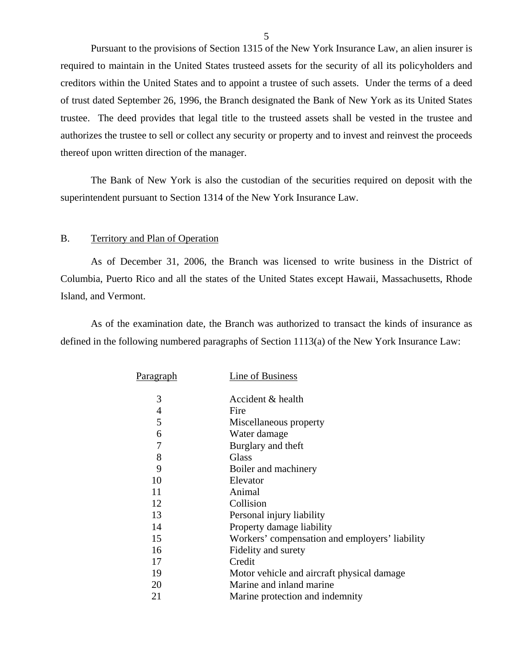<span id="page-6-0"></span>Pursuant to the provisions of Section 1315 of the New York Insurance Law, an alien insurer is required to maintain in the United States trusteed assets for the security of all its policyholders and creditors within the United States and to appoint a trustee of such assets. Under the terms of a deed of trust dated September 26, 1996, the Branch designated the Bank of New York as its United States trustee. The deed provides that legal title to the trusteed assets shall be vested in the trustee and authorizes the trustee to sell or collect any security or property and to invest and reinvest the proceeds thereof upon written direction of the manager.

The Bank of New York is also the custodian of the securities required on deposit with the superintendent pursuant to Section 1314 of the New York Insurance Law.

#### B. Territory and Plan of Operation

As of December 31, 2006, the Branch was licensed to write business in the District of Columbia, Puerto Rico and all the states of the United States except Hawaii, Massachusetts, Rhode Island, and Vermont.

As of the examination date, the Branch was authorized to transact the kinds of insurance as defined in the following numbered paragraphs of Section 1113(a) of the New York Insurance Law:

| P <u>aragraph</u> | Line of Business                               |
|-------------------|------------------------------------------------|
| 3                 | Accident & health                              |
| 4                 | Fire                                           |
| 5                 | Miscellaneous property                         |
| 6                 | Water damage                                   |
| $\overline{7}$    | Burglary and theft                             |
| 8                 | Glass                                          |
| 9                 | Boiler and machinery                           |
| 10                | Elevator                                       |
| 11                | Animal                                         |
| 12                | Collision                                      |
| 13                | Personal injury liability                      |
| 14                | Property damage liability                      |
| 15                | Workers' compensation and employers' liability |
| 16                | Fidelity and surety                            |
| 17                | Credit                                         |
| 19                | Motor vehicle and aircraft physical damage     |
| 20                | Marine and inland marine                       |
| 21                | Marine protection and indemnity                |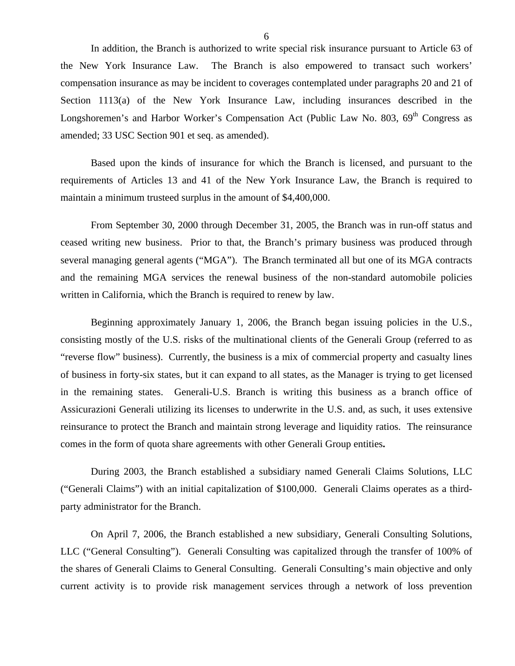In addition, the Branch is authorized to write special risk insurance pursuant to Article 63 of the New York Insurance Law. The Branch is also empowered to transact such workers' compensation insurance as may be incident to coverages contemplated under paragraphs 20 and 21 of Section 1113(a) of the New York Insurance Law, including insurances described in the Longshoremen's and Harbor Worker's Compensation Act (Public Law No. 803, 69<sup>th</sup> Congress as amended; 33 USC Section 901 et seq. as amended).

Based upon the kinds of insurance for which the Branch is licensed, and pursuant to the requirements of Articles 13 and 41 of the New York Insurance Law, the Branch is required to maintain a minimum trusteed surplus in the amount of \$4,400,000.

From September 30, 2000 through December 31, 2005, the Branch was in run-off status and ceased writing new business. Prior to that, the Branch's primary business was produced through several managing general agents ("MGA"). The Branch terminated all but one of its MGA contracts and the remaining MGA services the renewal business of the non-standard automobile policies written in California, which the Branch is required to renew by law.

Beginning approximately January 1, 2006, the Branch began issuing policies in the U.S., consisting mostly of the U.S. risks of the multinational clients of the Generali Group (referred to as "reverse flow" business). Currently, the business is a mix of commercial property and casualty lines of business in forty-six states, but it can expand to all states, as the Manager is trying to get licensed in the remaining states. Generali-U.S. Branch is writing this business as a branch office of Assicurazioni Generali utilizing its licenses to underwrite in the U.S. and, as such, it uses extensive reinsurance to protect the Branch and maintain strong leverage and liquidity ratios. The reinsurance comes in the form of quota share agreements with other Generali Group entities**.** 

During 2003, the Branch established a subsidiary named Generali Claims Solutions, LLC ("Generali Claims") with an initial capitalization of \$100,000. Generali Claims operates as a thirdparty administrator for the Branch.

On April 7, 2006, the Branch established a new subsidiary, Generali Consulting Solutions, LLC ("General Consulting"). Generali Consulting was capitalized through the transfer of 100% of the shares of Generali Claims to General Consulting. Generali Consulting's main objective and only current activity is to provide risk management services through a network of loss prevention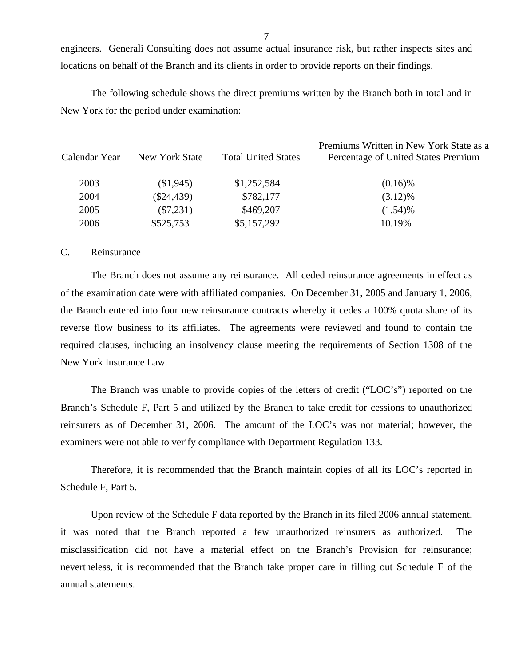engineers. Generali Consulting does not assume actual insurance risk, but rather inspects sites and locations on behalf of the Branch and its clients in order to provide reports on their findings.

The following schedule shows the direct premiums written by the Branch both in total and in New York for the period under examination:

| Calendar Year | New York State | <b>Total United States</b> | Premiums Written in New York State as a<br>Percentage of United States Premium |
|---------------|----------------|----------------------------|--------------------------------------------------------------------------------|
|               |                |                            |                                                                                |
| 2003          | (\$1,945)      | \$1,252,584                | $(0.16)\%$                                                                     |
| 2004          | $(\$24,439)$   | \$782,177                  | $(3.12)\%$                                                                     |
| 2005          | $(\$7,231)$    | \$469,207                  | $(1.54)\%$                                                                     |
| 2006          | \$525,753      | \$5,157,292                | 10.19%                                                                         |

#### C. Reinsurance

The Branch does not assume any reinsurance. All ceded reinsurance agreements in effect as of the examination date were with affiliated companies. On December 31, 2005 and January 1, 2006, the Branch entered into four new reinsurance contracts whereby it cedes a 100% quota share of its reverse flow business to its affiliates. The agreements were reviewed and found to contain the required clauses, including an insolvency clause meeting the requirements of Section 1308 of the New York Insurance Law.

The Branch was unable to provide copies of the letters of credit ("LOC's") reported on the Branch's Schedule F, Part 5 and utilized by the Branch to take credit for cessions to unauthorized reinsurers as of December 31, 2006. The amount of the LOC's was not material; however, the examiners were not able to verify compliance with Department Regulation 133.

Therefore, it is recommended that the Branch maintain copies of all its LOC's reported in Schedule F, Part 5.

Upon review of the Schedule F data reported by the Branch in its filed 2006 annual statement, it was noted that the Branch reported a few unauthorized reinsurers as authorized. The misclassification did not have a material effect on the Branch's Provision for reinsurance; nevertheless, it is recommended that the Branch take proper care in filling out Schedule F of the annual statements.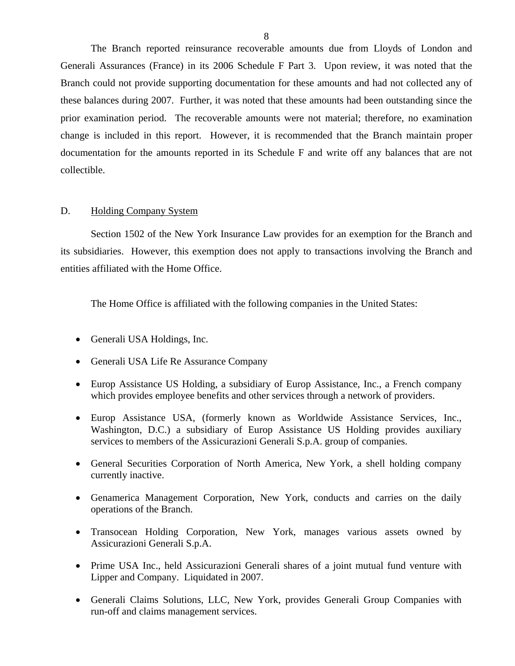<span id="page-9-0"></span>The Branch reported reinsurance recoverable amounts due from Lloyds of London and Generali Assurances (France) in its 2006 Schedule F Part 3. Upon review, it was noted that the Branch could not provide supporting documentation for these amounts and had not collected any of these balances during 2007. Further, it was noted that these amounts had been outstanding since the prior examination period. The recoverable amounts were not material; therefore, no examination change is included in this report. However, it is recommended that the Branch maintain proper documentation for the amounts reported in its Schedule F and write off any balances that are not collectible.

#### D. Holding Company System

Section 1502 of the New York Insurance Law provides for an exemption for the Branch and its subsidiaries. However, this exemption does not apply to transactions involving the Branch and entities affiliated with the Home Office.

The Home Office is affiliated with the following companies in the United States:

- Generali USA Holdings, Inc.
- Generali USA Life Re Assurance Company
- Europ Assistance US Holding, a subsidiary of Europ Assistance, Inc., a French company which provides employee benefits and other services through a network of providers.
- Europ Assistance USA, (formerly known as Worldwide Assistance Services, Inc., Washington, D.C.) a subsidiary of Europ Assistance US Holding provides auxiliary services to members of the Assicurazioni Generali S.p.A. group of companies.
- General Securities Corporation of North America, New York, a shell holding company currently inactive.
- Genamerica Management Corporation, New York, conducts and carries on the daily operations of the Branch.
- Transocean Holding Corporation, New York, manages various assets owned by Assicurazioni Generali S.p.A.
- Prime USA Inc., held Assicurazioni Generali shares of a joint mutual fund venture with Lipper and Company. Liquidated in 2007.
- Generali Claims Solutions, LLC, New York, provides Generali Group Companies with run-off and claims management services.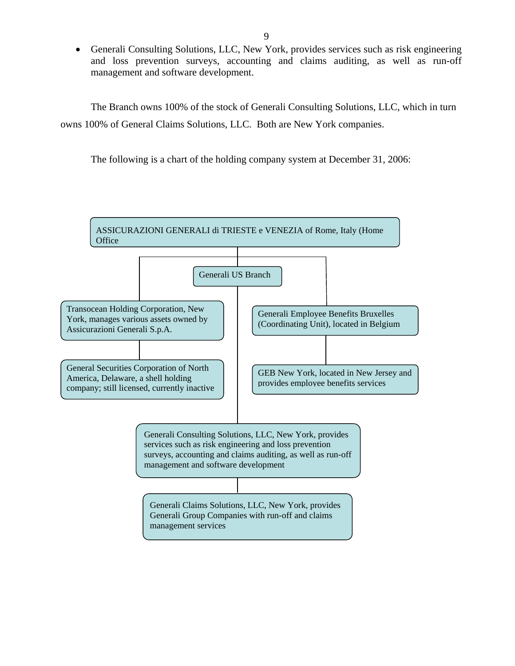Generali Consulting Solutions, LLC, New York, provides services such as risk engineering and loss prevention surveys, accounting and claims auditing, as well as run-off management and software development.

The Branch owns 100% of the stock of Generali Consulting Solutions, LLC, which in turn owns 100% of General Claims Solutions, LLC. Both are New York companies.

The following is a chart of the holding company system at December 31, 2006:

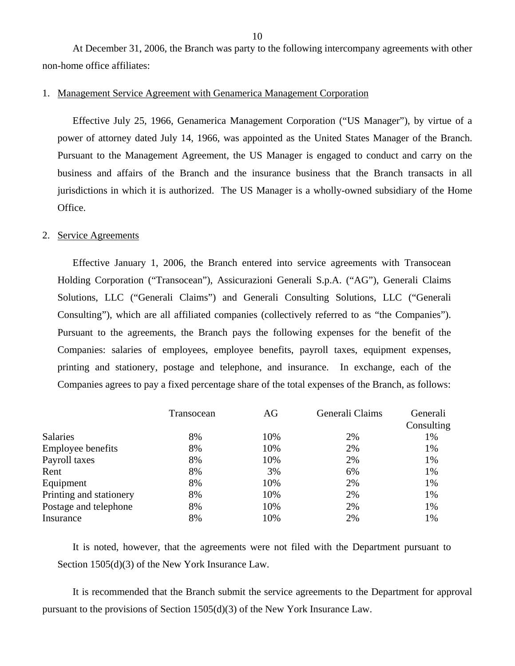At December 31, 2006, the Branch was party to the following intercompany agreements with other non-home office affiliates:

#### 1. Management Service Agreement with Genamerica Management Corporation

Effective July 25, 1966, Genamerica Management Corporation ("US Manager"), by virtue of a power of attorney dated July 14, 1966, was appointed as the United States Manager of the Branch. Pursuant to the Management Agreement, the US Manager is engaged to conduct and carry on the business and affairs of the Branch and the insurance business that the Branch transacts in all jurisdictions in which it is authorized. The US Manager is a wholly-owned subsidiary of the Home Office.

#### 2. Service Agreements

Effective January 1, 2006, the Branch entered into service agreements with Transocean Holding Corporation ("Transocean"), Assicurazioni Generali S.p.A. ("AG"), Generali Claims Solutions, LLC ("Generali Claims") and Generali Consulting Solutions, LLC ("Generali Consulting"), which are all affiliated companies (collectively referred to as "the Companies"). Pursuant to the agreements, the Branch pays the following expenses for the benefit of the Companies: salaries of employees, employee benefits, payroll taxes, equipment expenses, printing and stationery, postage and telephone, and insurance. In exchange, each of the Companies agrees to pay a fixed percentage share of the total expenses of the Branch, as follows:

|                          | Transocean | AG  | Generali Claims | Generali<br>Consulting |
|--------------------------|------------|-----|-----------------|------------------------|
| Salaries                 | 8%         | 10% | 2%              | 1%                     |
| <b>Employee benefits</b> | 8%         | 10% | 2%              | 1%                     |
| Payroll taxes            | 8%         | 10% | 2%              | 1%                     |
| Rent                     | 8%         | 3%  | 6%              | 1%                     |
| Equipment                | 8%         | 10% | 2%              | 1%                     |
| Printing and stationery  | 8%         | 10% | 2%              | 1%                     |
| Postage and telephone    | 8%         | 10% | 2%              | 1%                     |
| Insurance                | 8%         | 10% | 2%              | 1%                     |

It is noted, however, that the agreements were not filed with the Department pursuant to Section 1505(d)(3) of the New York Insurance Law.

It is recommended that the Branch submit the service agreements to the Department for approval pursuant to the provisions of Section 1505(d)(3) of the New York Insurance Law.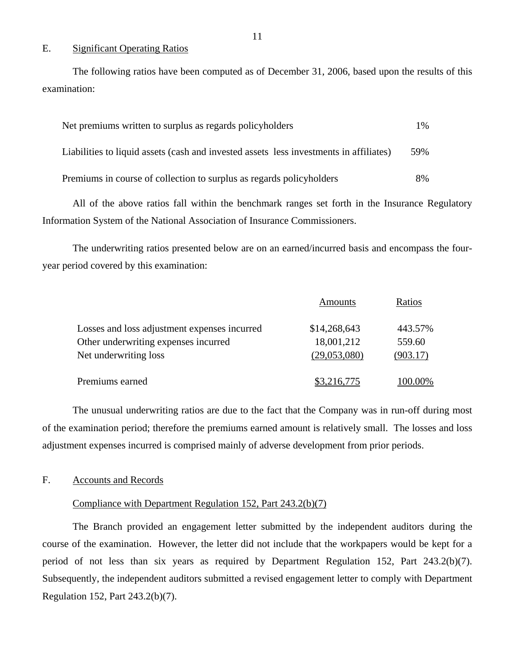#### E. Significant Operating Ratios

The following ratios have been computed as of December 31, 2006, based upon the results of this examination:

| Net premiums written to surplus as regards policyholders                               | $1\%$ |
|----------------------------------------------------------------------------------------|-------|
| Liabilities to liquid assets (cash and invested assets less investments in affiliates) | .59%  |
| Premiums in course of collection to surplus as regards policyholders                   | 8%    |

All of the above ratios fall within the benchmark ranges set forth in the Insurance Regulatory Information System of the National Association of Insurance Commissioners.

The underwriting ratios presented below are on an earned/incurred basis and encompass the fouryear period covered by this examination:

|                                              | Amounts      | Ratios   |
|----------------------------------------------|--------------|----------|
| Losses and loss adjustment expenses incurred | \$14,268,643 | 443.57%  |
| Other underwriting expenses incurred         | 18,001,212   | 559.60   |
| Net underwriting loss                        | (29,053,080) | (903.17) |
| Premiums earned                              | \$3,216,775  | 100.00%  |

The unusual underwriting ratios are due to the fact that the Company was in run-off during most of the examination period; therefore the premiums earned amount is relatively small. The losses and loss adjustment expenses incurred is comprised mainly of adverse development from prior periods.

#### F. Accounts and Records

#### Compliance with Department Regulation 152, Part 243.2(b)(7)

The Branch provided an engagement letter submitted by the independent auditors during the course of the examination. However, the letter did not include that the workpapers would be kept for a period of not less than six years as required by Department Regulation 152, Part 243.2(b)(7). Subsequently, the independent auditors submitted a revised engagement letter to comply with Department Regulation 152, Part 243.2(b)(7).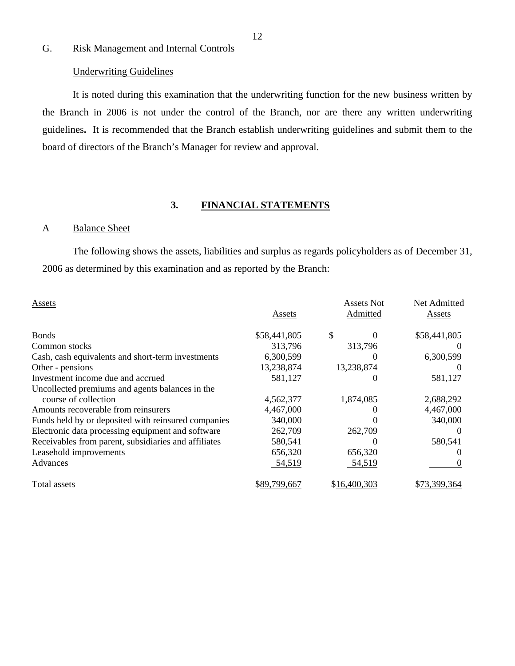# G. Risk Management and Internal Controls

### Underwriting Guidelines

It is noted during this examination that the underwriting function for the new business written by the Branch in 2006 is not under the control of the Branch, nor are there any written underwriting guidelines**.** It is recommended that the Branch establish underwriting guidelines and submit them to the board of directors of the Branch's Manager for review and approval.

### **3. FINANCIAL STATEMENTS**

### A Balance Sheet

The following shows the assets, liabilities and surplus as regards policyholders as of December 31, 2006 as determined by this examination and as reported by the Branch:

| <b>Assets</b>                                        | Assets       | Assets Not<br>Admitted | Net Admitted<br>Assets |
|------------------------------------------------------|--------------|------------------------|------------------------|
| <b>Bonds</b>                                         | \$58,441,805 | \$                     | \$58,441,805           |
| Common stocks                                        | 313,796      | 313,796                |                        |
| Cash, cash equivalents and short-term investments    | 6,300,599    |                        | 6,300,599              |
| Other - pensions                                     | 13,238,874   | 13,238,874             |                        |
| Investment income due and accrued                    | 581,127      |                        | 581,127                |
| Uncollected premiums and agents balances in the      |              |                        |                        |
| course of collection                                 | 4,562,377    | 1,874,085              | 2,688,292              |
| Amounts recoverable from reinsurers                  | 4,467,000    |                        | 4,467,000              |
| Funds held by or deposited with reinsured companies  | 340,000      |                        | 340,000                |
| Electronic data processing equipment and software    | 262,709      | 262,709                | $\theta$               |
| Receivables from parent, subsidiaries and affiliates | 580,541      |                        | 580,541                |
| Leasehold improvements                               | 656,320      | 656,320                | $\theta$               |
| Advances                                             | 54,519       | 54,519                 | $\theta$               |
| Total assets                                         | \$89,799,667 | \$16,400,303           | 3.399,364              |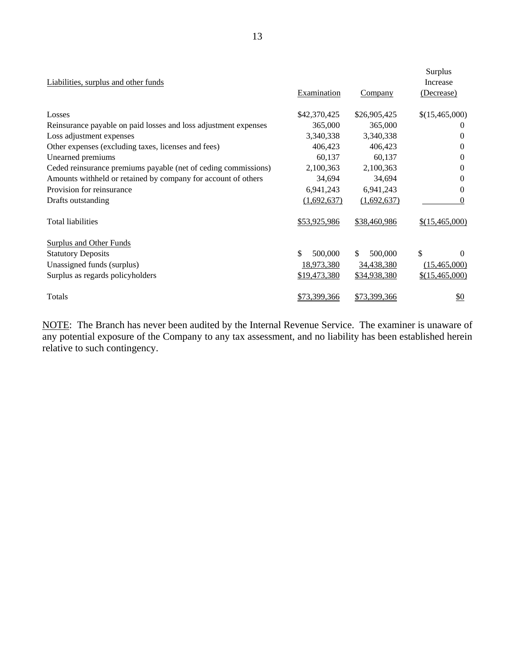| Liabilities, surplus and other funds                            | Examination   | <b>Company</b> | Surplus<br>Increase<br>(Decrease) |
|-----------------------------------------------------------------|---------------|----------------|-----------------------------------|
| Losses                                                          | \$42,370,425  | \$26,905,425   | \$(15,465,000)                    |
| Reinsurance payable on paid losses and loss adjustment expenses | 365,000       | 365,000        | $\theta$                          |
| Loss adjustment expenses                                        | 3,340,338     | 3,340,338      | $\Omega$                          |
| Other expenses (excluding taxes, licenses and fees)             | 406,423       | 406,423        | $\Omega$                          |
| Unearned premiums                                               | 60,137        | 60,137         | 0                                 |
| Ceded reinsurance premiums payable (net of ceding commissions)  | 2,100,363     | 2,100,363      | $\Omega$                          |
| Amounts withheld or retained by company for account of others   | 34,694        | 34,694         | $\Omega$                          |
| Provision for reinsurance                                       | 6,941,243     | 6,941,243      | $\Omega$                          |
| Drafts outstanding                                              | (1,692,637)   | (1,692,637)    | $\Omega$                          |
| <b>Total liabilities</b>                                        | \$53,925,986  | \$38,460,986   | \$(15,465,000)                    |
| <b>Surplus and Other Funds</b>                                  |               |                |                                   |
| <b>Statutory Deposits</b>                                       | \$<br>500,000 | 500,000<br>\$  | \$<br>$\Omega$                    |
| Unassigned funds (surplus)                                      | 18,973,380    | 34,438,380     | (15,465,000)                      |
| Surplus as regards policyholders                                | \$19,473,380  | \$34,938,380   | \$(15,465,000)                    |
| Totals                                                          | \$73,399,366  | \$73,399,366   | $\underline{\$0}$                 |

NOTE: The Branch has never been audited by the Internal Revenue Service. The examiner is unaware of any potential exposure of the Company to any tax assessment, and no liability has been established herein relative to such contingency.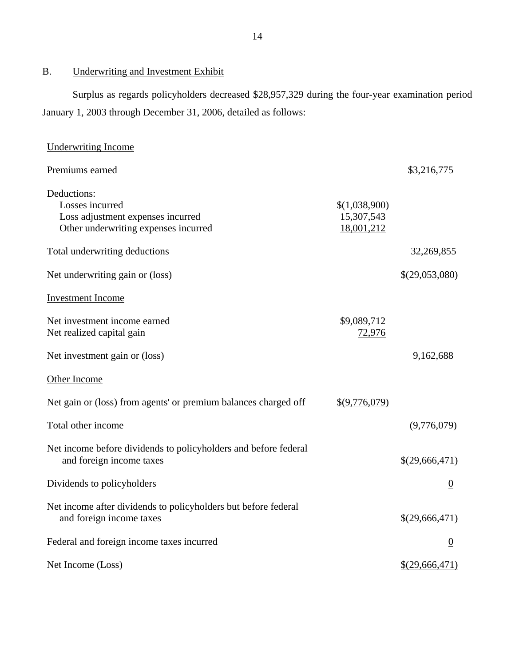B. Underwriting and Investment Exhibit

Surplus as regards policyholders decreased \$28,957,329 during the four-year examination period January 1, 2003 through December 31, 2006, detailed as follows:

| <b>Underwriting Income</b>                                                                                  |                                           |                  |
|-------------------------------------------------------------------------------------------------------------|-------------------------------------------|------------------|
| Premiums earned                                                                                             |                                           | \$3,216,775      |
| Deductions:<br>Losses incurred<br>Loss adjustment expenses incurred<br>Other underwriting expenses incurred | \$(1,038,900)<br>15,307,543<br>18,001,212 |                  |
| Total underwriting deductions                                                                               |                                           | 32,269,855       |
| Net underwriting gain or (loss)                                                                             |                                           | \$(29,053,080)   |
| <b>Investment Income</b>                                                                                    |                                           |                  |
| Net investment income earned<br>Net realized capital gain                                                   | \$9,089,712<br>72,976                     |                  |
| Net investment gain or (loss)                                                                               |                                           | 9,162,688        |
| Other Income                                                                                                |                                           |                  |
| Net gain or (loss) from agents' or premium balances charged off                                             | \$(9,776,079)                             |                  |
| Total other income                                                                                          |                                           | (9,776,079)      |
| Net income before dividends to policyholders and before federal<br>and foreign income taxes                 |                                           | \$(29,666,471)   |
| Dividends to policyholders                                                                                  |                                           | $\underline{0}$  |
| Net income after dividends to policyholders but before federal<br>and foreign income taxes                  |                                           | \$(29,666,471)   |
| Federal and foreign income taxes incurred                                                                   |                                           | $\boldsymbol{0}$ |
| Net Income (Loss)                                                                                           |                                           | $$$ (29,666,471) |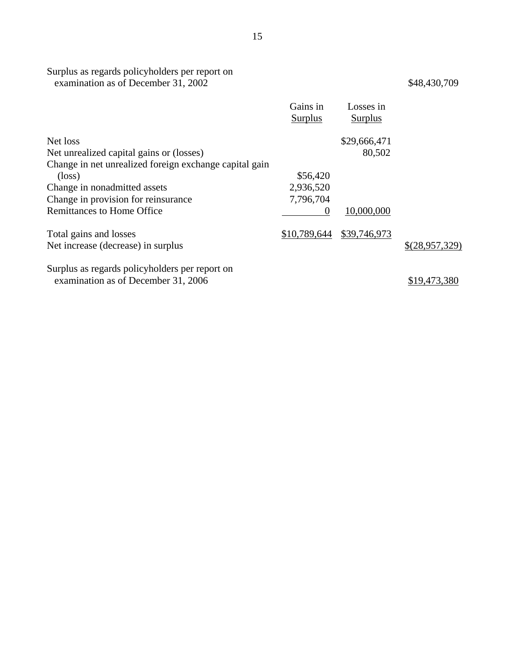#### Surplus as regards policyholders per report on examination as of December 31, 2002 \$48,430,709

|                                                        | Gains in<br>Surplus | Losses in<br><b>Surplus</b> |                |
|--------------------------------------------------------|---------------------|-----------------------------|----------------|
| Net loss                                               |                     | \$29,666,471                |                |
| Net unrealized capital gains or (losses)               |                     | 80,502                      |                |
| Change in net unrealized foreign exchange capital gain |                     |                             |                |
| $(\text{loss})$                                        | \$56,420            |                             |                |
| Change in nonadmitted assets                           | 2,936,520           |                             |                |
| Change in provision for reinsurance                    | 7,796,704           |                             |                |
| <b>Remittances to Home Office</b>                      | $\theta$            | 10,000,000                  |                |
| Total gains and losses                                 | \$10,789,644        | \$39,746,973                |                |
| Net increase (decrease) in surplus                     |                     |                             | \$(28,957,329) |
| Surplus as regards policyholders per report on         |                     |                             |                |
| examination as of December 31, 2006                    |                     |                             | \$19,473,380   |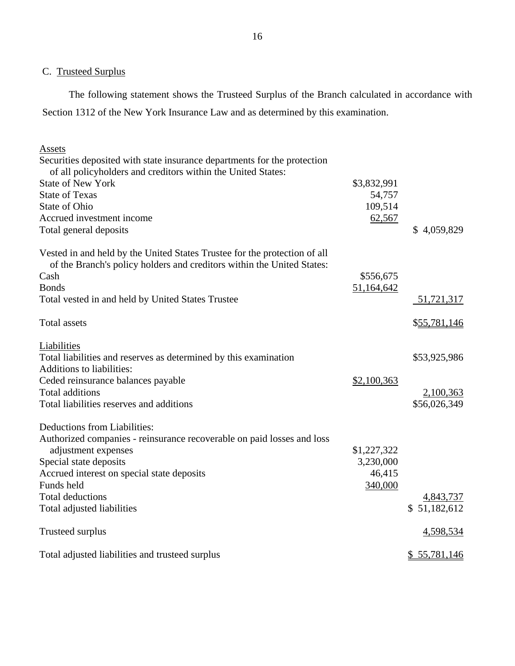C. Trusteed Surplus

The following statement shows the Trusteed Surplus of the Branch calculated in accordance with Section 1312 of the New York Insurance Law and as determined by this examination.

| <b>Assets</b>                                                             |             |              |
|---------------------------------------------------------------------------|-------------|--------------|
| Securities deposited with state insurance departments for the protection  |             |              |
| of all policyholders and creditors within the United States:              |             |              |
| <b>State of New York</b>                                                  | \$3,832,991 |              |
| <b>State of Texas</b>                                                     | 54,757      |              |
| State of Ohio                                                             | 109,514     |              |
| Accrued investment income                                                 | 62,567      |              |
| Total general deposits                                                    |             | \$4,059,829  |
| Vested in and held by the United States Trustee for the protection of all |             |              |
| of the Branch's policy holders and creditors within the United States:    |             |              |
| Cash                                                                      | \$556,675   |              |
| <b>Bonds</b>                                                              | 51,164,642  |              |
| Total vested in and held by United States Trustee                         |             | 51,721,317   |
| <b>Total</b> assets                                                       |             | \$55,781,146 |
| Liabilities                                                               |             |              |
| Total liabilities and reserves as determined by this examination          |             | \$53,925,986 |
| <b>Additions to liabilities:</b>                                          |             |              |
| Ceded reinsurance balances payable                                        | \$2,100,363 |              |
| <b>Total additions</b>                                                    |             | 2,100,363    |
| Total liabilities reserves and additions                                  |             | \$56,026,349 |
| Deductions from Liabilities:                                              |             |              |
| Authorized companies - reinsurance recoverable on paid losses and loss    |             |              |
| adjustment expenses                                                       | \$1,227,322 |              |
| Special state deposits                                                    | 3,230,000   |              |
| Accrued interest on special state deposits                                | 46,415      |              |
| Funds held                                                                | 340,000     |              |
| <b>Total deductions</b>                                                   |             | 4,843,737    |
| Total adjusted liabilities                                                |             | \$51,182,612 |
| Trusteed surplus                                                          |             | 4,598,534    |
| Total adjusted liabilities and trusteed surplus                           |             | \$55,781,146 |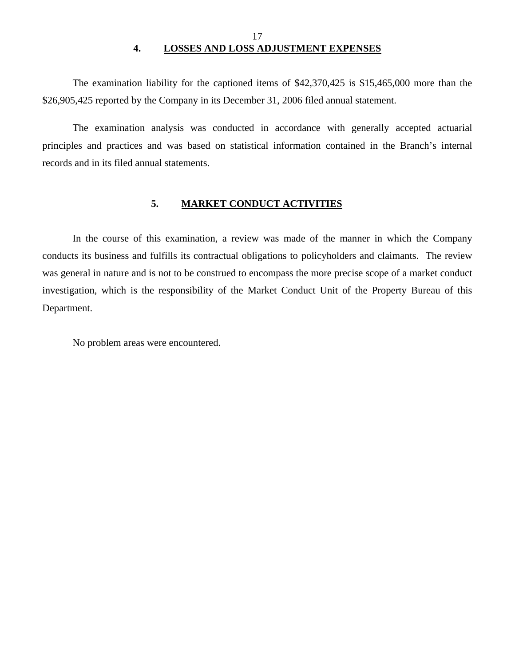### 17 **4. LOSSES AND LOSS ADJUSTMENT EXPENSES**

<span id="page-18-0"></span>The examination liability for the captioned items of \$42,370,425 is \$15,465,000 more than the \$26,905,425 reported by the Company in its December 31, 2006 filed annual statement.

The examination analysis was conducted in accordance with generally accepted actuarial principles and practices and was based on statistical information contained in the Branch's internal records and in its filed annual statements.

#### **5. MARKET CONDUCT ACTIVITIES**

In the course of this examination, a review was made of the manner in which the Company conducts its business and fulfills its contractual obligations to policyholders and claimants. The review was general in nature and is not to be construed to encompass the more precise scope of a market conduct investigation, which is the responsibility of the Market Conduct Unit of the Property Bureau of this Department.

No problem areas were encountered.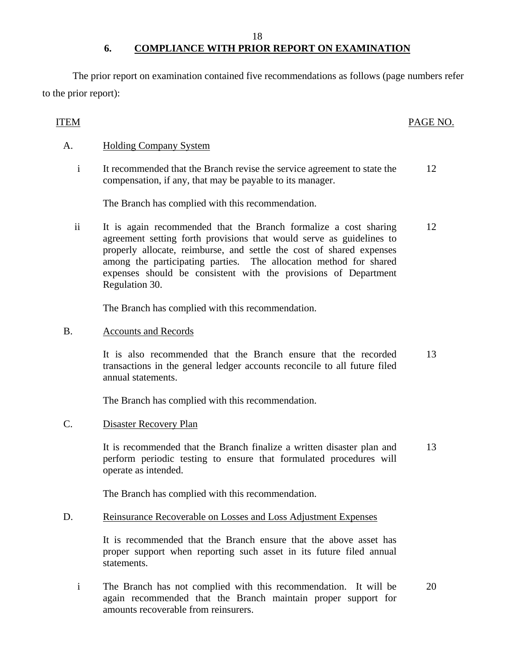18

# **6. COMPLIANCE WITH PRIOR REPORT ON EXAMINATION**

The prior report on examination contained five recommendations as follows (page numbers refer to the prior report):

## ITEM PAGE NO.

### A. Holding Company System

i It recommended that the Branch revise the service agreement to state the compensation, if any, that may be payable to its manager. 12

The Branch has complied with this recommendation.

ii It is again recommended that the Branch formalize a cost sharing agreement setting forth provisions that would serve as guidelines to properly allocate, reimburse, and settle the cost of shared expenses among the participating parties. The allocation method for shared expenses should be consistent with the provisions of Department Regulation 30. 12

The Branch has complied with this recommendation.

B. Accounts and Records

It is also recommended that the Branch ensure that the recorded transactions in the general ledger accounts reconcile to all future filed annual statements. 13

The Branch has complied with this recommendation.

C. Disaster Recovery Plan

It is recommended that the Branch finalize a written disaster plan and perform periodic testing to ensure that formulated procedures will operate as intended. 13

The Branch has complied with this recommendation.

#### D. Reinsurance Recoverable on Losses and Loss Adjustment Expenses

It is recommended that the Branch ensure that the above asset has proper support when reporting such asset in its future filed annual statements.

i The Branch has not complied with this recommendation. It will be again recommended that the Branch maintain proper support for amounts recoverable from reinsurers.

20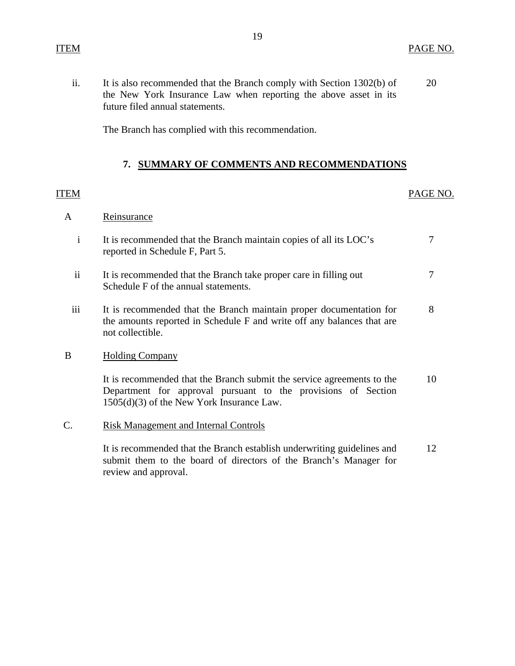<span id="page-20-0"></span>ii. It is also recommended that the Branch comply with Section 1302(b) of 20 the New York Insurance Law when reporting the above asset in its future filed annual statements.

The Branch has complied with this recommendation.

#### **7. SUMMARY OF COMMENTS AND RECOMMENDATIONS**

#### ITEM PAGE NO.

#### A Reinsurance

- i It is recommended that the Branch maintain copies of all its LOC's 7 reported in Schedule F, Part 5.
- ii It is recommended that the Branch take proper care in filling out 7 Schedule F of the annual statements.
- iii It is recommended that the Branch maintain proper documentation for 8 the amounts reported in Schedule F and write off any balances that are not collectible.

#### B Holding Company

It is recommended that the Branch submit the service agreements to the 10 Department for approval pursuant to the provisions of Section 1505(d)(3) of the New York Insurance Law.

#### C. Risk Management and Internal Controls

It is recommended that the Branch establish underwriting guidelines and 12 submit them to the board of directors of the Branch's Manager for review and approval.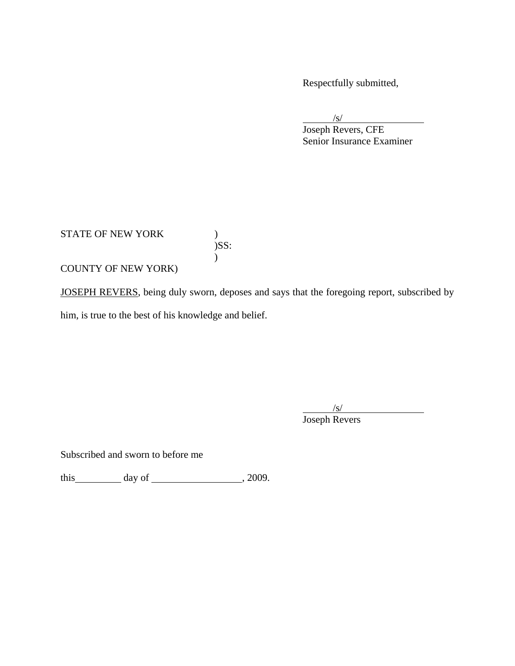Respectfully submitted,

 $\sqrt{s}$ /s/

 $\frac{{\rm /s/}}{\rm Joseph}$  Revers, CFE Senior Insurance Examiner

STATE OF NEW YORK )

)<br> $)$ SS:  $\lambda$ 

COUNTY OF NEW YORK)

JOSEPH REVERS, being duly sworn, deposes and says that the foregoing report, subscribed by

him, is true to the best of his knowledge and belief.

 $\sqrt{s}$ /s/

Joseph Revers

Subscribed and sworn to before me

this  $\_\_\_\_\_$  day of  $\_\_\_\_\_\_$ , 2009.